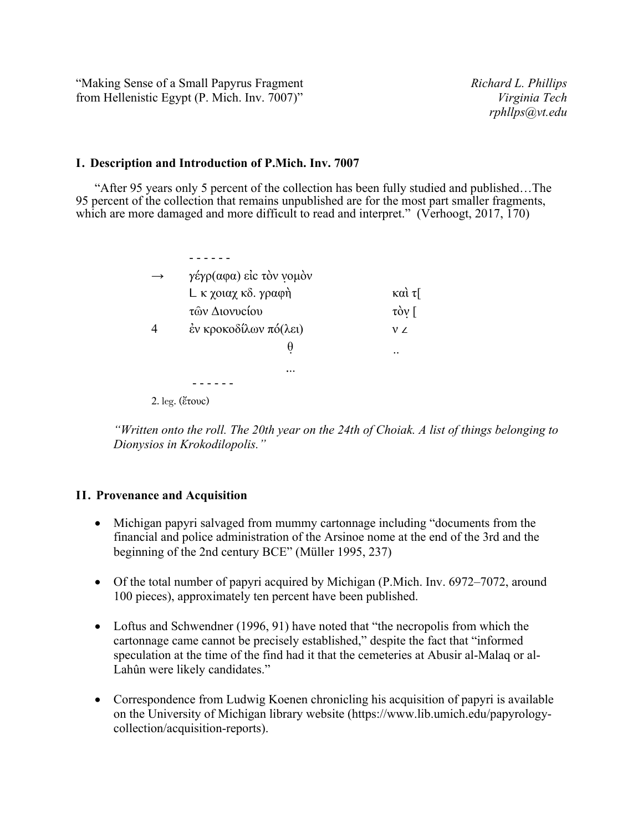"Making Sense of a Small Papyrus Fragment *Richard L. Phillips* from Hellenistic Egypt (P. Mich. Inv. 7007)" *Virginia Tech*

## **I. Description and Introduction of P.Mich. Inv. 7007**

"After 95 years only 5 percent of the collection has been fully studied and published…The 95 percent of the collection that remains unpublished are for the most part smaller fragments, which are more damaged and more difficult to read and interpret." (Verhoogt, 2017, 170)

| $\rightarrow$ | γέγρ(αφα) είς τὸν νομὸν     |                                   |
|---------------|-----------------------------|-----------------------------------|
|               | L κ χοιαχ κδ. γραφή         | καὶ τ[                            |
|               | τῶν Διονυςίου               | $\tau \dot{\alpha}$ $\eta$ $\tau$ |
| 4             | έν κροκοδίλων πό(λει)       | $V\angle$                         |
|               | θ                           | $\ddotsc$                         |
|               | $\cdots$                    |                                   |
|               |                             |                                   |
|               | $\sim$ $\sim$ $\sim$ $\sim$ |                                   |

2. leg. (ἔτουϲ)

*"Written onto the roll. The 20th year on the 24th of Choiak. A list of things belonging to Dionysios in Krokodilopolis."*

## **II. Provenance and Acquisition**

- Michigan papyri salvaged from mummy cartonnage including "documents from the financial and police administration of the Arsinoe nome at the end of the 3rd and the beginning of the 2nd century BCE" (Müller 1995, 237)
- Of the total number of papyri acquired by Michigan (P.Mich. Inv. 6972–7072, around 100 pieces), approximately ten percent have been published.
- Loftus and Schwendner (1996, 91) have noted that "the necropolis from which the cartonnage came cannot be precisely established," despite the fact that "informed speculation at the time of the find had it that the cemeteries at Abusir al-Malaq or al-Lahûn were likely candidates."
- Correspondence from Ludwig Koenen chronicling his acquisition of papyri is available on the University of Michigan library website (https://www.lib.umich.edu/papyrologycollection/acquisition-reports).